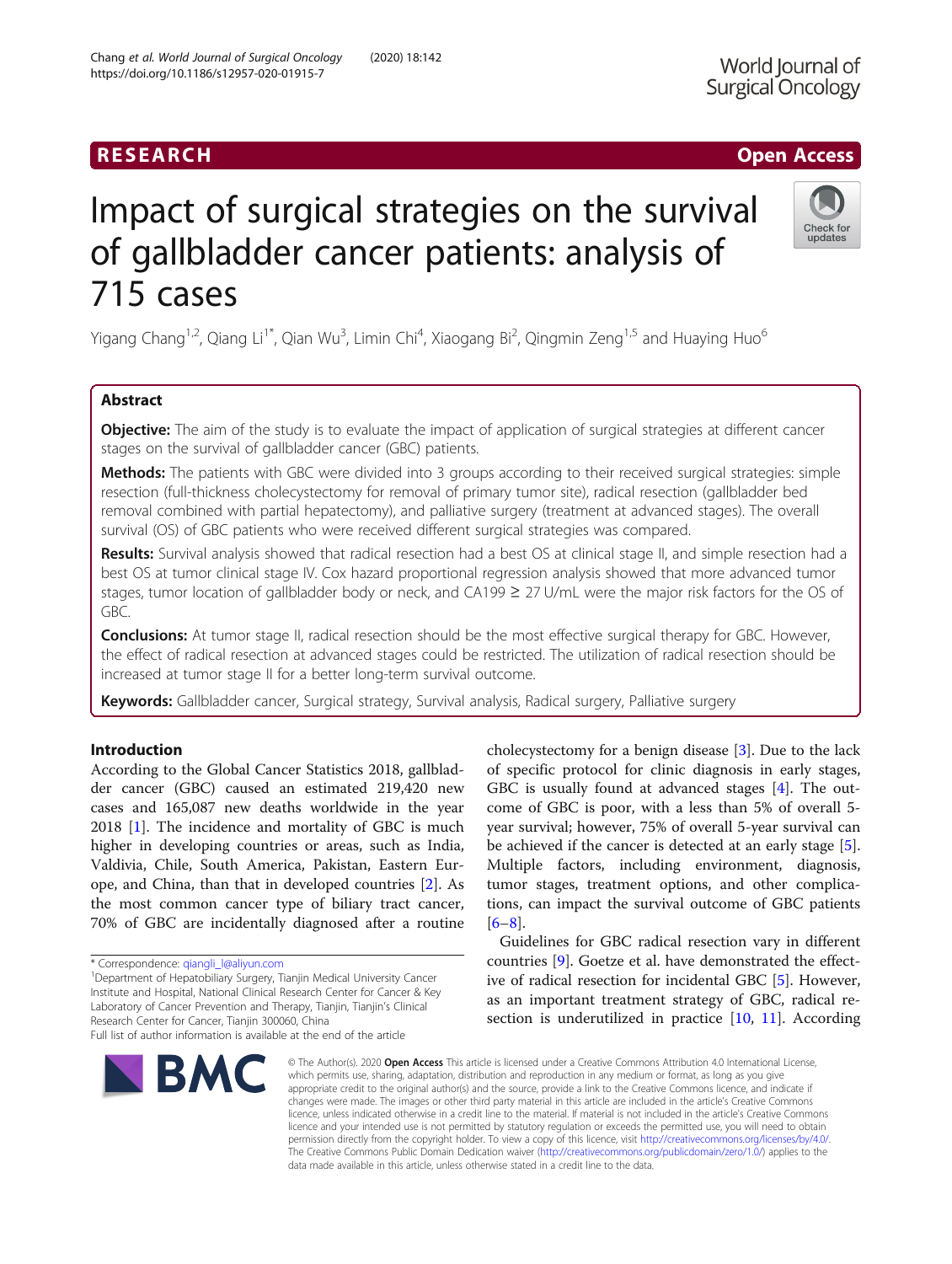## RESEARCH **RESEARCH CHOOSE ACCESS**

# Impact of surgical strategies on the survival of gallbladder cancer patients: analysis of 715 cases

Yigang Chang<sup>1,2</sup>, Qiang Li<sup>1\*</sup>, Qian Wu<sup>3</sup>, Limin Chi<sup>4</sup>, Xiaogang Bi<sup>2</sup>, Qingmin Zeng<sup>1,5</sup> and Huaying Huo<sup>6</sup>

## Abstract

**Objective:** The aim of the study is to evaluate the impact of application of surgical strategies at different cancer stages on the survival of gallbladder cancer (GBC) patients.

Methods: The patients with GBC were divided into 3 groups according to their received surgical strategies: simple resection (full-thickness cholecystectomy for removal of primary tumor site), radical resection (gallbladder bed removal combined with partial hepatectomy), and palliative surgery (treatment at advanced stages). The overall survival (OS) of GBC patients who were received different surgical strategies was compared.

Results: Survival analysis showed that radical resection had a best OS at clinical stage II, and simple resection had a best OS at tumor clinical stage IV. Cox hazard proportional regression analysis showed that more advanced tumor stages, tumor location of gallbladder body or neck, and CA199 ≥ 27 U/mL were the major risk factors for the OS of GBC.

**Conclusions:** At tumor stage II, radical resection should be the most effective surgical therapy for GBC. However, the effect of radical resection at advanced stages could be restricted. The utilization of radical resection should be increased at tumor stage II for a better long-term survival outcome.

Keywords: Gallbladder cancer, Surgical strategy, Survival analysis, Radical surgery, Palliative surgery

## Introduction

According to the Global Cancer Statistics 2018, gallbladder cancer (GBC) caused an estimated 219,420 new cases and 165,087 new deaths worldwide in the year 2018 [[1](#page-8-0)]. The incidence and mortality of GBC is much higher in developing countries or areas, such as India, Valdivia, Chile, South America, Pakistan, Eastern Europe, and China, than that in developed countries [\[2](#page-8-0)]. As the most common cancer type of biliary tract cancer, 70% of GBC are incidentally diagnosed after a routine

<sup>1</sup>Department of Hepatobiliary Surgery, Tianjin Medical University Cancer Institute and Hospital, National Clinical Research Center for Cancer & Key Laboratory of Cancer Prevention and Therapy, Tianjin, Tianjin's Clinical Research Center for Cancer, Tianjin 300060, China

#### © The Author(s), 2020 **Open Access** This article is licensed under a Creative Commons Attribution 4.0 International License, which permits use, sharing, adaptation, distribution and reproduction in any medium or format, as long as you give appropriate credit to the original author(s) and the source, provide a link to the Creative Commons licence, and indicate if changes were made. The images or other third party material in this article are included in the article's Creative Commons licence, unless indicated otherwise in a credit line to the material. If material is not included in the article's Creative Commons licence and your intended use is not permitted by statutory regulation or exceeds the permitted use, you will need to obtain permission directly from the copyright holder. To view a copy of this licence, visit [http://creativecommons.org/licenses/by/4.0/.](http://creativecommons.org/licenses/by/4.0/) The Creative Commons Public Domain Dedication waiver [\(http://creativecommons.org/publicdomain/zero/1.0/](http://creativecommons.org/publicdomain/zero/1.0/)) applies to the data made available in this article, unless otherwise stated in a credit line to the data.

 $[6-8]$  $[6-8]$  $[6-8]$  $[6-8]$ .

cholecystectomy for a benign disease [\[3](#page-8-0)]. Due to the lack of specific protocol for clinic diagnosis in early stages, GBC is usually found at advanced stages [\[4](#page-8-0)]. The outcome of GBC is poor, with a less than 5% of overall 5 year survival; however, 75% of overall 5-year survival can be achieved if the cancer is detected at an early stage [\[5](#page-8-0)]. Multiple factors, including environment, diagnosis, tumor stages, treatment options, and other complications, can impact the survival outcome of GBC patients

Guidelines for GBC radical resection vary in different countries [[9\]](#page-8-0). Goetze et al. have demonstrated the effective of radical resection for incidental GBC [\[5](#page-8-0)]. However, as an important treatment strategy of GBC, radical resection is underutilized in practice [[10,](#page-8-0) [11](#page-8-0)]. According

\* Correspondence: [qiangli\\_l@aliyun.com](mailto:qiangli_l@aliyun.com) <sup>1</sup>

Chang et al. World Journal of Surgical Oncology (2020) 18:142 https://doi.org/10.1186/s12957-020-01915-7





updates



Full list of author information is available at the end of the article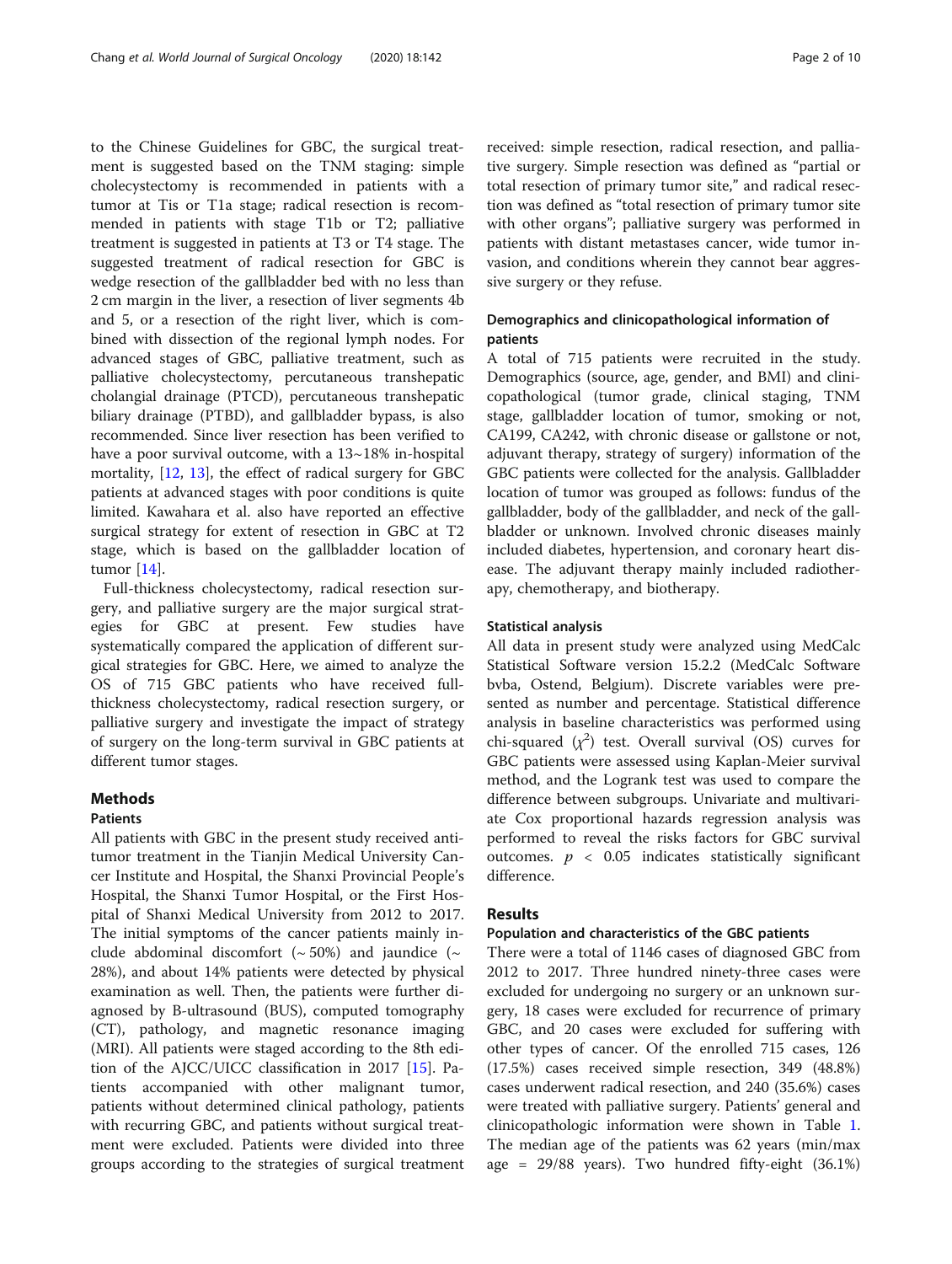to the Chinese Guidelines for GBC, the surgical treatment is suggested based on the TNM staging: simple cholecystectomy is recommended in patients with a tumor at Tis or T1a stage; radical resection is recommended in patients with stage T1b or T2; palliative treatment is suggested in patients at T3 or T4 stage. The suggested treatment of radical resection for GBC is wedge resection of the gallbladder bed with no less than 2 cm margin in the liver, a resection of liver segments 4b and 5, or a resection of the right liver, which is combined with dissection of the regional lymph nodes. For advanced stages of GBC, palliative treatment, such as palliative cholecystectomy, percutaneous transhepatic cholangial drainage (PTCD), percutaneous transhepatic biliary drainage (PTBD), and gallbladder bypass, is also recommended. Since liver resection has been verified to have a poor survival outcome, with a  $13~18\%$  in-hospital mortality, [[12,](#page-8-0) [13](#page-8-0)], the effect of radical surgery for GBC patients at advanced stages with poor conditions is quite limited. Kawahara et al. also have reported an effective surgical strategy for extent of resection in GBC at T2 stage, which is based on the gallbladder location of tumor [\[14](#page-8-0)].

Full-thickness cholecystectomy, radical resection surgery, and palliative surgery are the major surgical strategies for GBC at present. Few studies have systematically compared the application of different surgical strategies for GBC. Here, we aimed to analyze the OS of 715 GBC patients who have received fullthickness cholecystectomy, radical resection surgery, or palliative surgery and investigate the impact of strategy of surgery on the long-term survival in GBC patients at different tumor stages.

## Methods

## Patients

All patients with GBC in the present study received antitumor treatment in the Tianjin Medical University Cancer Institute and Hospital, the Shanxi Provincial People's Hospital, the Shanxi Tumor Hospital, or the First Hospital of Shanxi Medical University from 2012 to 2017. The initial symptoms of the cancer patients mainly include abdominal discomfort ( $\sim$  50%) and jaundice ( $\sim$ 28%), and about 14% patients were detected by physical examination as well. Then, the patients were further diagnosed by B-ultrasound (BUS), computed tomography (CT), pathology, and magnetic resonance imaging (MRI). All patients were staged according to the 8th edition of the AJCC/UICC classification in 2017 [[15](#page-8-0)]. Patients accompanied with other malignant tumor, patients without determined clinical pathology, patients with recurring GBC, and patients without surgical treatment were excluded. Patients were divided into three groups according to the strategies of surgical treatment

received: simple resection, radical resection, and palliative surgery. Simple resection was defined as "partial or total resection of primary tumor site," and radical resection was defined as "total resection of primary tumor site with other organs"; palliative surgery was performed in patients with distant metastases cancer, wide tumor invasion, and conditions wherein they cannot bear aggressive surgery or they refuse.

## Demographics and clinicopathological information of patients

A total of 715 patients were recruited in the study. Demographics (source, age, gender, and BMI) and clinicopathological (tumor grade, clinical staging, TNM stage, gallbladder location of tumor, smoking or not, CA199, CA242, with chronic disease or gallstone or not, adjuvant therapy, strategy of surgery) information of the GBC patients were collected for the analysis. Gallbladder location of tumor was grouped as follows: fundus of the gallbladder, body of the gallbladder, and neck of the gallbladder or unknown. Involved chronic diseases mainly included diabetes, hypertension, and coronary heart disease. The adjuvant therapy mainly included radiotherapy, chemotherapy, and biotherapy.

#### Statistical analysis

All data in present study were analyzed using MedCalc Statistical Software version 15.2.2 (MedCalc Software bvba, Ostend, Belgium). Discrete variables were presented as number and percentage. Statistical difference analysis in baseline characteristics was performed using chi-squared  $(\chi^2)$  test. Overall survival (OS) curves for GBC patients were assessed using Kaplan-Meier survival method, and the Logrank test was used to compare the difference between subgroups. Univariate and multivariate Cox proportional hazards regression analysis was performed to reveal the risks factors for GBC survival outcomes.  $p < 0.05$  indicates statistically significant difference.

## Results

## Population and characteristics of the GBC patients

There were a total of 1146 cases of diagnosed GBC from 2012 to 2017. Three hundred ninety-three cases were excluded for undergoing no surgery or an unknown surgery, 18 cases were excluded for recurrence of primary GBC, and 20 cases were excluded for suffering with other types of cancer. Of the enrolled 715 cases, 126 (17.5%) cases received simple resection, 349 (48.8%) cases underwent radical resection, and 240 (35.6%) cases were treated with palliative surgery. Patients' general and clinicopathologic information were shown in Table [1](#page-2-0). The median age of the patients was 62 years (min/max age = 29/88 years). Two hundred fifty-eight (36.1%)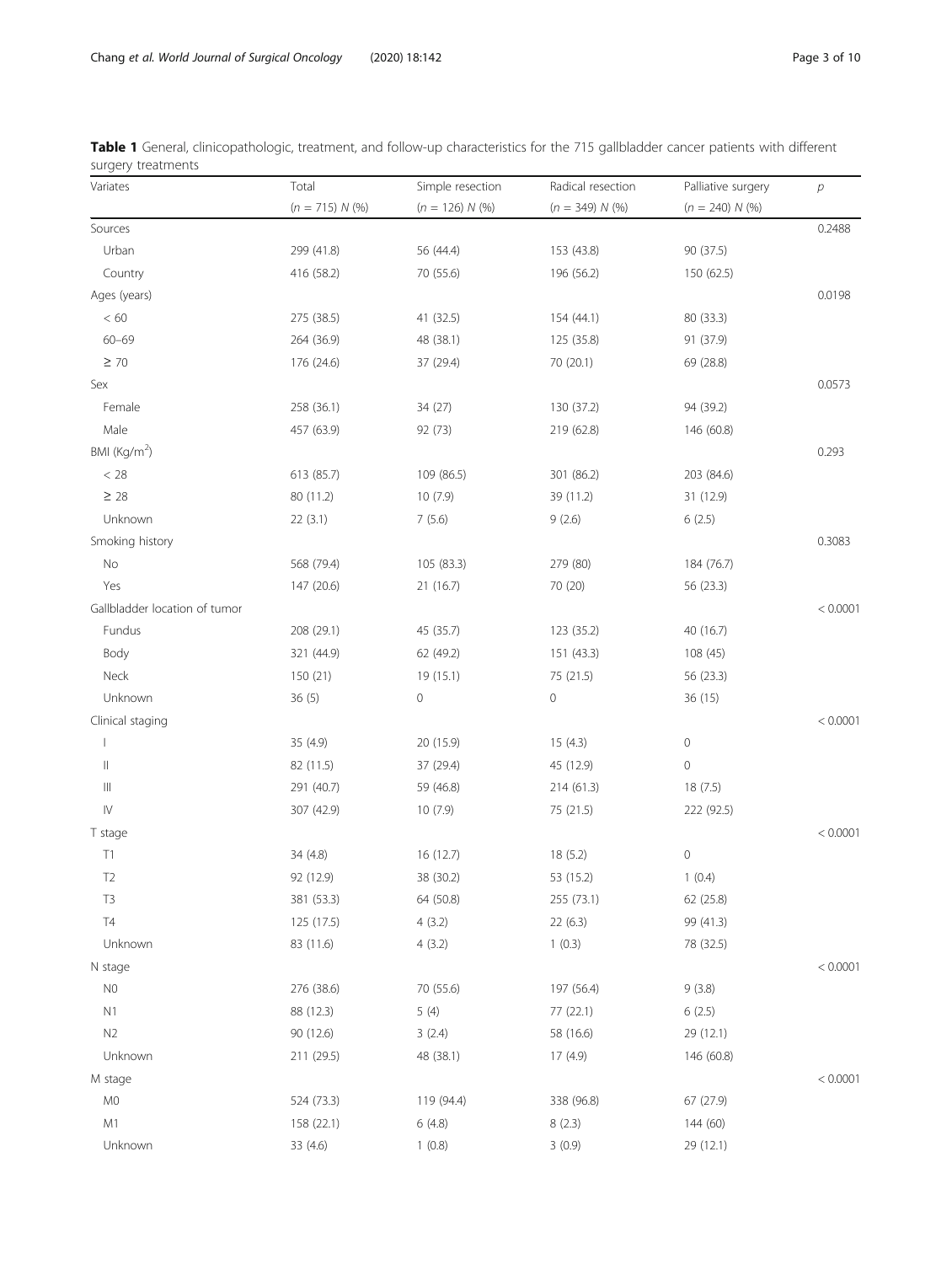| Variates                           | Total             | Simple resection  | Radical resection | Palliative surgery  | р        |
|------------------------------------|-------------------|-------------------|-------------------|---------------------|----------|
|                                    | $(n = 715) N$ (%) | $(n = 126) N$ (%) | $(n = 349) N$ (%) | $(n = 240) N$ (%)   |          |
| Sources                            |                   |                   |                   |                     | 0.2488   |
| Urban                              | 299 (41.8)        | 56 (44.4)         | 153 (43.8)        | 90 (37.5)           |          |
| Country                            | 416 (58.2)        | 70 (55.6)         | 196 (56.2)        | 150 (62.5)          |          |
| Ages (years)                       |                   |                   |                   |                     | 0.0198   |
| $< 60$                             | 275 (38.5)        | 41 (32.5)         | 154 (44.1)        | 80 (33.3)           |          |
| $60 - 69$                          | 264 (36.9)        | 48 (38.1)         | 125 (35.8)        | 91 (37.9)           |          |
| $\geq 70$                          | 176 (24.6)        | 37 (29.4)         | 70 (20.1)         | 69 (28.8)           |          |
| Sex                                |                   |                   |                   |                     | 0.0573   |
| Female                             | 258 (36.1)        | 34(27)            | 130 (37.2)        | 94 (39.2)           |          |
| Male                               | 457 (63.9)        | 92 (73)           | 219 (62.8)        | 146 (60.8)          |          |
| BMI (Kg/m <sup>2</sup> )           |                   |                   |                   |                     | 0.293    |
| $< 28\,$                           | 613 (85.7)        | 109 (86.5)        | 301 (86.2)        | 203 (84.6)          |          |
| $\geq 28$                          | 80 (11.2)         | 10(7.9)           | 39 (11.2)         | 31 (12.9)           |          |
| Unknown                            | 22(3.1)           | 7(5.6)            | 9(2.6)            | 6(2.5)              |          |
| Smoking history                    |                   |                   |                   |                     | 0.3083   |
| $\rm No$                           | 568 (79.4)        | 105 (83.3)        | 279 (80)          | 184 (76.7)          |          |
| Yes                                | 147 (20.6)        | 21 (16.7)         | 70 (20)           | 56 (23.3)           |          |
| Gallbladder location of tumor      |                   |                   |                   |                     | < 0.0001 |
| Fundus                             | 208 (29.1)        | 45 (35.7)         | 123 (35.2)        | 40 (16.7)           |          |
| Body                               | 321 (44.9)        | 62 (49.2)         | 151 (43.3)        | 108 (45)            |          |
| Neck                               | 150(21)           | 19 (15.1)         | 75 (21.5)         | 56 (23.3)           |          |
| Unknown                            | 36(5)             | $\mathbf 0$       | 0                 | 36 (15)             |          |
| Clinical staging                   |                   |                   |                   |                     | < 0.0001 |
|                                    | 35 (4.9)          | 20 (15.9)         | 15(4.3)           | $\mathsf{O}\xspace$ |          |
| $\vert\vert$                       | 82 (11.5)         | 37 (29.4)         | 45 (12.9)         | $\mathsf{O}\xspace$ |          |
| $\ensuremath{\mathsf{III}}\xspace$ | 291 (40.7)        | 59 (46.8)         | 214(61.3)         | 18(7.5)             |          |
| $\mathsf{IV}$                      | 307 (42.9)        | 10(7.9)           | 75 (21.5)         | 222 (92.5)          |          |
| T stage                            |                   |                   |                   |                     | < 0.0001 |
| T1                                 | 34 (4.8)          | 16 (12.7)         | 18 (5.2)          | $\mathbb O$         |          |
| T <sub>2</sub>                     | 92 (12.9)         | 38 (30.2)         | 53 (15.2)         | 1(0.4)              |          |
| T <sub>3</sub>                     | 381 (53.3)        | 64 (50.8)         | 255 (73.1)        | 62 (25.8)           |          |
| $\mathsf{T}4$                      | 125 (17.5)        | 4(3.2)            | 22(6.3)           | 99 (41.3)           |          |
| Unknown                            | 83 (11.6)         | 4(3.2)            | 1(0.3)            | 78 (32.5)           |          |
| N stage                            |                   |                   |                   |                     | < 0.0001 |
| N <sub>0</sub>                     | 276 (38.6)        | 70 (55.6)         | 197 (56.4)        | 9(3.8)              |          |
| N1                                 | 88 (12.3)         | 5(4)              | 77 (22.1)         | 6(2.5)              |          |
| N2                                 | 90 (12.6)         | 3(2.4)            | 58 (16.6)         | 29 (12.1)           |          |
| Unknown                            | 211 (29.5)        | 48 (38.1)         | 17 (4.9)          | 146 (60.8)          |          |
| M stage                            |                   |                   |                   |                     | < 0.0001 |
| M <sub>0</sub>                     | 524 (73.3)        | 119 (94.4)        | 338 (96.8)        | 67 (27.9)           |          |
| M1                                 | 158 (22.1)        | 6(4.8)            | 8(2.3)            | 144 (60)            |          |
| Unknown                            | 33 (4.6)          | 1(0.8)            | 3(0.9)            | 29 (12.1)           |          |

<span id="page-2-0"></span>

|                    | Table 1 General, clinicopathologic, treatment, and follow-up characteristics for the 715 gallbladder cancer patients with different |  |  |  |  |
|--------------------|-------------------------------------------------------------------------------------------------------------------------------------|--|--|--|--|
| surgery treatments |                                                                                                                                     |  |  |  |  |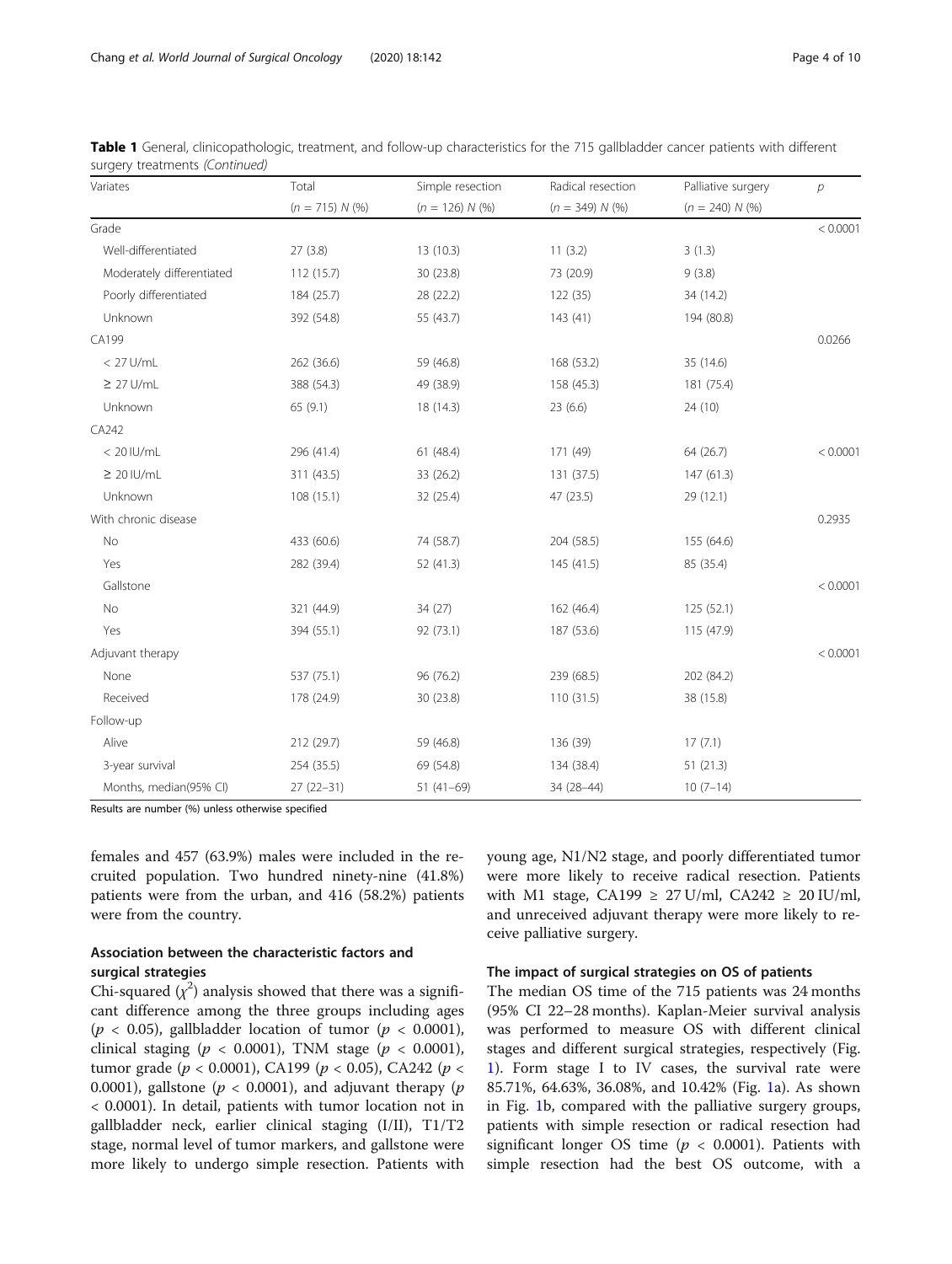| Variates                  | Total             | Simple resection  | Radical resection | Palliative surgery | $\overline{p}$ |
|---------------------------|-------------------|-------------------|-------------------|--------------------|----------------|
|                           | $(n = 715) N$ (%) | $(n = 126) N$ (%) | $(n = 349) N$ (%) | $(n = 240) N$ (%)  |                |
| Grade                     |                   |                   |                   |                    | < 0.0001       |
| Well-differentiated       | 27(3.8)           | 13(10.3)          | 11(3.2)           | 3(1.3)             |                |
| Moderately differentiated | 112 (15.7)        | 30 (23.8)         | 73 (20.9)         | 9(3.8)             |                |
| Poorly differentiated     | 184 (25.7)        | 28 (22.2)         | 122 (35)          | 34 (14.2)          |                |
| Unknown                   | 392 (54.8)        | 55 (43.7)         | 143(41)           | 194 (80.8)         |                |
| CA199                     |                   |                   |                   |                    | 0.0266         |
| $< 27$ U/mL               | 262 (36.6)        | 59 (46.8)         | 168 (53.2)        | 35 (14.6)          |                |
| $\geq$ 27 U/mL            | 388 (54.3)        | 49 (38.9)         | 158 (45.3)        | 181 (75.4)         |                |
| Unknown                   | 65(9.1)           | 18 (14.3)         | 23(6.6)           | 24 (10)            |                |
| CA242                     |                   |                   |                   |                    |                |
| $< 20$ IU/mL              | 296 (41.4)        | 61(48.4)          | 171 (49)          | 64 (26.7)          | < 0.0001       |
| $\geq 20$ IU/mL           | 311 (43.5)        | 33 (26.2)         | 131 (37.5)        | 147 (61.3)         |                |
| Unknown                   | 108 (15.1)        | 32 (25.4)         | 47 (23.5)         | 29 (12.1)          |                |
| With chronic disease      |                   |                   |                   |                    | 0.2935         |
| No                        | 433 (60.6)        | 74 (58.7)         | 204 (58.5)        | 155 (64.6)         |                |
| Yes                       | 282 (39.4)        | 52(41.3)          | 145 (41.5)        | 85 (35.4)          |                |
| Gallstone                 |                   |                   |                   |                    | < 0.0001       |
| No                        | 321 (44.9)        | 34(27)            | 162 (46.4)        | 125 (52.1)         |                |
| Yes                       | 394 (55.1)        | 92 (73.1)         | 187 (53.6)        | 115 (47.9)         |                |
| Adjuvant therapy          |                   |                   |                   |                    | < 0.0001       |
| None                      | 537 (75.1)        | 96 (76.2)         | 239 (68.5)        | 202 (84.2)         |                |
| Received                  | 178 (24.9)        | 30 (23.8)         | 110(31.5)         | 38 (15.8)          |                |
| Follow-up                 |                   |                   |                   |                    |                |
| Alive                     | 212 (29.7)        | 59 (46.8)         | 136 (39)          | 17(7.1)            |                |
| 3-year survival           | 254 (35.5)        | 69 (54.8)         | 134 (38.4)        | 51(21.3)           |                |
| Months, median(95% CI)    | $27(22-31)$       | $51(41-69)$       | 34 (28-44)        | $10(7-14)$         |                |

|  | Table 1 General, clinicopathologic, treatment, and follow-up characteristics for the 715 gallbladder cancer patients with different |  |  |  |  |  |
|--|-------------------------------------------------------------------------------------------------------------------------------------|--|--|--|--|--|
|  | surgery treatments (Continued)                                                                                                      |  |  |  |  |  |

Results are number (%) unless otherwise specified

females and 457 (63.9%) males were included in the recruited population. Two hundred ninety-nine (41.8%) patients were from the urban, and 416 (58.2%) patients were from the country.

## Association between the characteristic factors and surgical strategies

Chi-squared  $(\chi^2)$  analysis showed that there was a significant difference among the three groups including ages ( $p < 0.05$ ), gallbladder location of tumor ( $p < 0.0001$ ), clinical staging ( $p < 0.0001$ ), TNM stage ( $p < 0.0001$ ), tumor grade ( $p < 0.0001$ ), CA199 ( $p < 0.05$ ), CA242 ( $p <$ 0.0001), gallstone ( $p < 0.0001$ ), and adjuvant therapy ( $p$ < 0.0001). In detail, patients with tumor location not in gallbladder neck, earlier clinical staging (I/II), T1/T2 stage, normal level of tumor markers, and gallstone were more likely to undergo simple resection. Patients with young age, N1/N2 stage, and poorly differentiated tumor were more likely to receive radical resection. Patients with M1 stage, CA199  $\geq$  27 U/ml, CA242  $\geq$  20 IU/ml, and unreceived adjuvant therapy were more likely to receive palliative surgery.

#### The impact of surgical strategies on OS of patients

The median OS time of the 715 patients was 24 months (95% CI 22–28 months). Kaplan-Meier survival analysis was performed to measure OS with different clinical stages and different surgical strategies, respectively (Fig. [1\)](#page-4-0). Form stage I to IV cases, the survival rate were 85.71%, 64.63%, 36.08%, and 10.42% (Fig. [1a](#page-4-0)). As shown in Fig. [1](#page-4-0)b, compared with the palliative surgery groups, patients with simple resection or radical resection had significant longer OS time ( $p < 0.0001$ ). Patients with simple resection had the best OS outcome, with a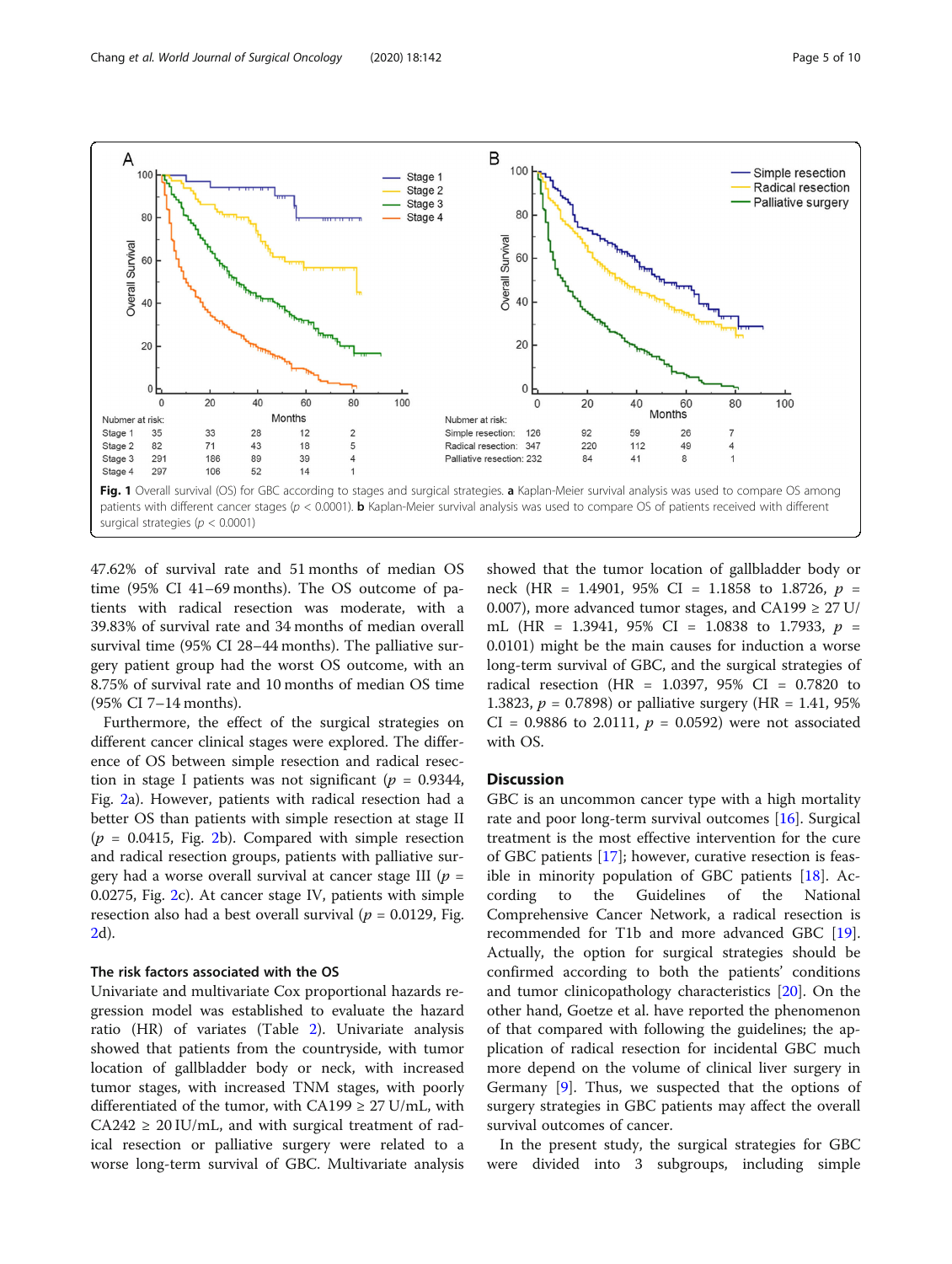<span id="page-4-0"></span>

47.62% of survival rate and 51 months of median OS time (95% CI 41–69 months). The OS outcome of patients with radical resection was moderate, with a 39.83% of survival rate and 34 months of median overall survival time (95% CI 28–44 months). The palliative surgery patient group had the worst OS outcome, with an 8.75% of survival rate and 10 months of median OS time (95% CI 7–14 months).

Furthermore, the effect of the surgical strategies on different cancer clinical stages were explored. The difference of OS between simple resection and radical resection in stage I patients was not significant ( $p = 0.9344$ , Fig. [2](#page-5-0)a). However, patients with radical resection had a better OS than patients with simple resection at stage II  $(p = 0.0415,$  Fig. [2](#page-5-0)b). Compared with simple resection and radical resection groups, patients with palliative surgery had a worse overall survival at cancer stage III ( $p =$ 0.0275, Fig. [2c](#page-5-0)). At cancer stage IV, patients with simple resection also had a best overall survival ( $p = 0.0129$ , Fig. [2d](#page-5-0)).

#### The risk factors associated with the OS

Univariate and multivariate Cox proportional hazards regression model was established to evaluate the hazard ratio (HR) of variates (Table [2](#page-6-0)). Univariate analysis showed that patients from the countryside, with tumor location of gallbladder body or neck, with increased tumor stages, with increased TNM stages, with poorly differentiated of the tumor, with CA199  $\geq$  27 U/mL, with  $CA242 \geq 20$  IU/mL, and with surgical treatment of radical resection or palliative surgery were related to a worse long-term survival of GBC. Multivariate analysis showed that the tumor location of gallbladder body or neck (HR = 1.4901, 95% CI = 1.1858 to 1.8726,  $p =$ 0.007), more advanced tumor stages, and CA199  $\geq$  27 U/ mL (HR = 1.3941, 95% CI = 1.0838 to 1.7933,  $p =$ 0.0101) might be the main causes for induction a worse long-term survival of GBC, and the surgical strategies of radical resection (HR = 1.0397, 95% CI = 0.7820 to 1.3823,  $p = 0.7898$  or palliative surgery (HR = 1.41, 95%) CI = 0.9886 to 2.0111,  $p = 0.0592$ ) were not associated with OS.

## **Discussion**

GBC is an uncommon cancer type with a high mortality rate and poor long-term survival outcomes [[16\]](#page-8-0). Surgical treatment is the most effective intervention for the cure of GBC patients [[17\]](#page-8-0); however, curative resection is feasible in minority population of GBC patients  $[18]$  $[18]$  $[18]$ . According to the Guidelines of the National Comprehensive Cancer Network, a radical resection is recommended for T1b and more advanced GBC [\[19](#page-8-0)]. Actually, the option for surgical strategies should be confirmed according to both the patients' conditions and tumor clinicopathology characteristics [\[20](#page-8-0)]. On the other hand, Goetze et al. have reported the phenomenon of that compared with following the guidelines; the application of radical resection for incidental GBC much more depend on the volume of clinical liver surgery in Germany [[9\]](#page-8-0). Thus, we suspected that the options of surgery strategies in GBC patients may affect the overall survival outcomes of cancer.

In the present study, the surgical strategies for GBC were divided into 3 subgroups, including simple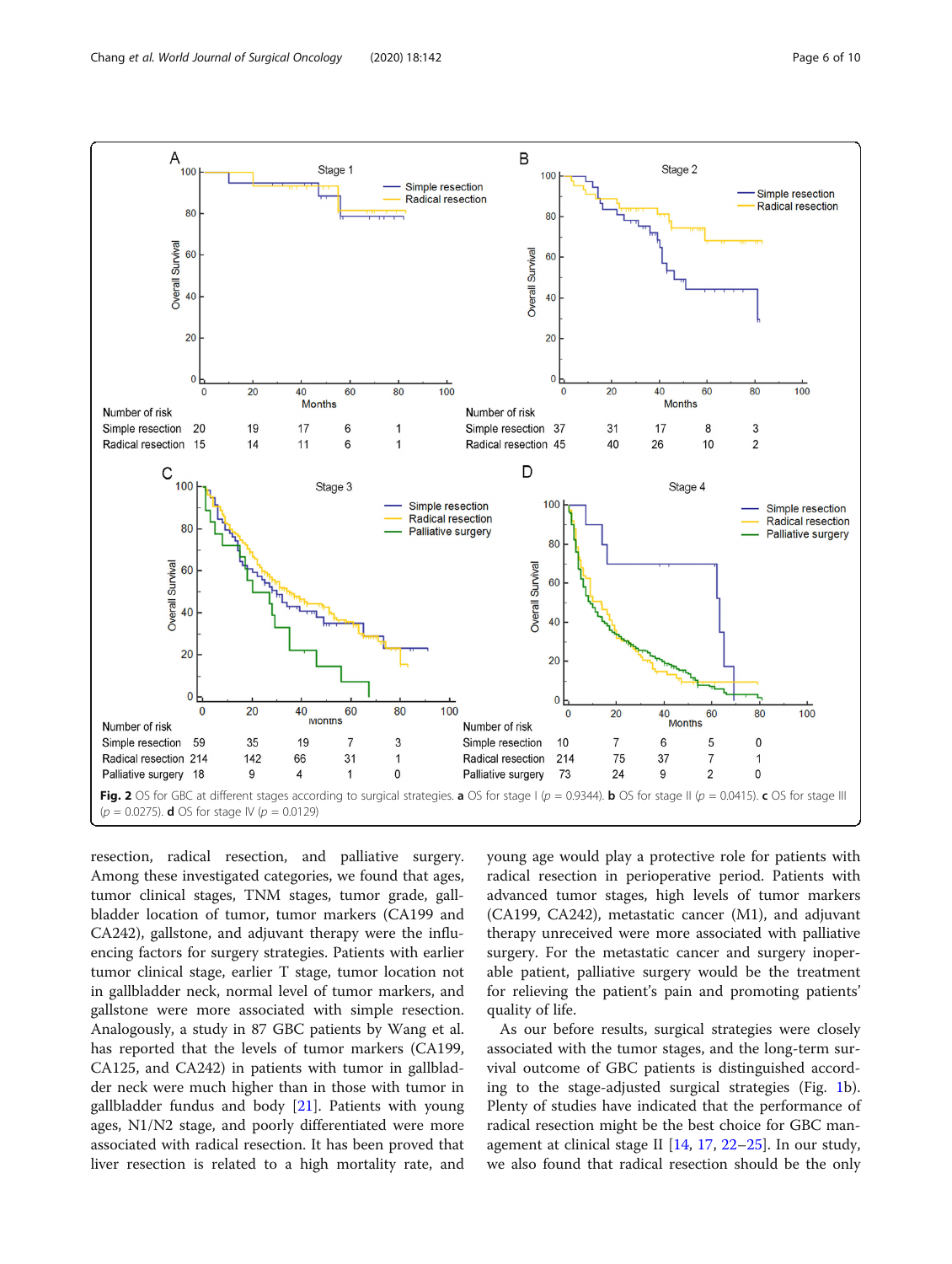<span id="page-5-0"></span>

resection, radical resection, and palliative surgery. Among these investigated categories, we found that ages, tumor clinical stages, TNM stages, tumor grade, gallbladder location of tumor, tumor markers (CA199 and CA242), gallstone, and adjuvant therapy were the influencing factors for surgery strategies. Patients with earlier tumor clinical stage, earlier T stage, tumor location not in gallbladder neck, normal level of tumor markers, and gallstone were more associated with simple resection. Analogously, a study in 87 GBC patients by Wang et al. has reported that the levels of tumor markers (CA199, CA125, and CA242) in patients with tumor in gallbladder neck were much higher than in those with tumor in gallbladder fundus and body [\[21\]](#page-8-0). Patients with young ages, N1/N2 stage, and poorly differentiated were more associated with radical resection. It has been proved that liver resection is related to a high mortality rate, and young age would play a protective role for patients with radical resection in perioperative period. Patients with advanced tumor stages, high levels of tumor markers (CA199, CA242), metastatic cancer (M1), and adjuvant therapy unreceived were more associated with palliative surgery. For the metastatic cancer and surgery inoperable patient, palliative surgery would be the treatment for relieving the patient's pain and promoting patients' quality of life.

As our before results, surgical strategies were closely associated with the tumor stages, and the long-term survival outcome of GBC patients is distinguished according to the stage-adjusted surgical strategies (Fig. [1](#page-4-0)b). Plenty of studies have indicated that the performance of radical resection might be the best choice for GBC management at clinical stage II [\[14](#page-8-0), [17](#page-8-0), [22](#page-8-0)–[25](#page-9-0)]. In our study, we also found that radical resection should be the only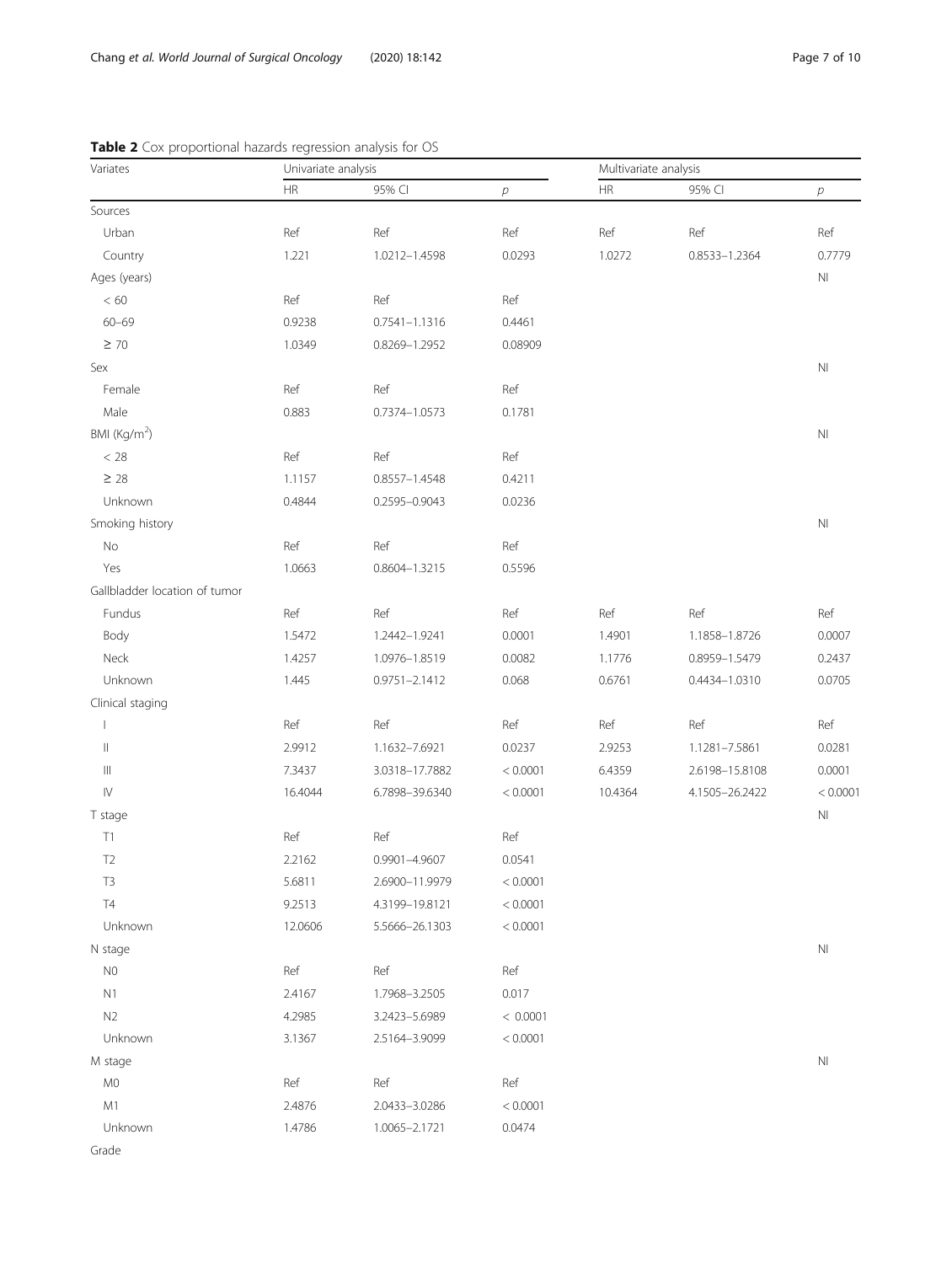| Variates                           | Univariate analysis |                   |          | Multivariate analysis |                |                        |  |
|------------------------------------|---------------------|-------------------|----------|-----------------------|----------------|------------------------|--|
|                                    | HR                  | 95% CI            | $\rho$   | ${\sf HR}$            | 95% CI         | $\,p\,$                |  |
| Sources                            |                     |                   |          |                       |                |                        |  |
| Urban                              | Ref                 | Ref               | Ref      | Ref                   | Ref            | Ref                    |  |
| Country                            | 1.221               | 1.0212-1.4598     | 0.0293   | 1.0272                | 0.8533-1.2364  | 0.7779                 |  |
| Ages (years)                       |                     |                   |          |                       |                | N <sub>l</sub>         |  |
| $< 60$                             | Ref                 | Ref               | Ref      |                       |                |                        |  |
| $60 - 69$                          | 0.9238              | $0.7541 - 1.1316$ | 0.4461   |                       |                |                        |  |
| $\geq 70$                          | 1.0349              | 0.8269-1.2952     | 0.08909  |                       |                |                        |  |
| Sex                                |                     |                   |          |                       |                | $\mathsf{N}\mathsf{I}$ |  |
| Female                             | Ref                 | Ref               | Ref      |                       |                |                        |  |
| Male                               | 0.883               | 0.7374-1.0573     | 0.1781   |                       |                |                        |  |
| BMI (Kg/m <sup>2</sup> )           |                     |                   |          |                       |                | $N\Gamma$              |  |
| $< 28$                             | Ref                 | Ref               | Ref      |                       |                |                        |  |
| $\geq 28$                          | 1.1157              | 0.8557-1.4548     | 0.4211   |                       |                |                        |  |
| Unknown                            | 0.4844              | 0.2595-0.9043     | 0.0236   |                       |                |                        |  |
| Smoking history                    |                     |                   |          |                       |                | $\mathsf{N}\mathsf{I}$ |  |
| $\rm No$                           | Ref                 | Ref               | Ref      |                       |                |                        |  |
| Yes                                | 1.0663              | 0.8604-1.3215     | 0.5596   |                       |                |                        |  |
| Gallbladder location of tumor      |                     |                   |          |                       |                |                        |  |
| Fundus                             | Ref                 | Ref               | Ref      | Ref                   | Ref            | Ref                    |  |
| Body                               | 1.5472              | 1.2442-1.9241     | 0.0001   | 1.4901                | 1.1858-1.8726  | 0.0007                 |  |
| Neck                               | 1.4257              | 1.0976-1.8519     | 0.0082   | 1.1776                | 0.8959-1.5479  | 0.2437                 |  |
| Unknown                            | 1.445               | $0.9751 - 2.1412$ | 0.068    | 0.6761                | 0.4434-1.0310  | 0.0705                 |  |
| Clinical staging                   |                     |                   |          |                       |                |                        |  |
| $\overline{\phantom{a}}$           | Ref                 | Ref               | Ref      | Ref                   | Ref            | Ref                    |  |
| $\vert\vert$                       | 2.9912              | 1.1632-7.6921     | 0.0237   | 2.9253                | 1.1281-7.5861  | 0.0281                 |  |
| $\ensuremath{\mathsf{III}}\xspace$ | 7.3437              | 3.0318-17.7882    | < 0.0001 | 6.4359                | 2.6198-15.8108 | 0.0001                 |  |
| ${\sf IV}$                         | 16.4044             | 6.7898-39.6340    | < 0.0001 | 10.4364               | 4.1505-26.2422 | < 0.0001               |  |
| T stage                            |                     |                   |          |                       |                | $\mathsf{N}\mathsf{I}$ |  |
| T1                                 | Ref                 | Ref               | Ref      |                       |                |                        |  |
| T <sub>2</sub>                     | 2.2162              | 0.9901-4.9607     | 0.0541   |                       |                |                        |  |
| T <sub>3</sub>                     | 5.6811              | 2.6900-11.9979    | < 0.0001 |                       |                |                        |  |
| T4                                 | 9.2513              | 4.3199-19.8121    | < 0.0001 |                       |                |                        |  |
| Unknown                            | 12.0606             | 5.5666-26.1303    | < 0.0001 |                       |                |                        |  |
| N stage                            |                     |                   |          |                       |                | $\mathsf{N}\mathsf{I}$ |  |
| N <sub>0</sub>                     | Ref                 | Ref               | Ref      |                       |                |                        |  |
| N1                                 | 2.4167              | 1.7968-3.2505     | 0.017    |                       |                |                        |  |
| N2                                 | 4.2985              | 3.2423-5.6989     | < 0.0001 |                       |                |                        |  |
| Unknown                            | 3.1367              | 2.5164-3.9099     | < 0.0001 |                       |                |                        |  |
| M stage                            |                     |                   |          |                       |                | $\mathbb N\mathbb I$   |  |
| $M0$                               | Ref                 | Ref               | Ref      |                       |                |                        |  |
| M1                                 | 2.4876              | 2.0433-3.0286     | < 0.0001 |                       |                |                        |  |

<span id="page-6-0"></span>

|  |  | Table 2 Cox proportional hazards regression analysis for OS |  |
|--|--|-------------------------------------------------------------|--|
|--|--|-------------------------------------------------------------|--|

Grade

Unknown 1.4786 1.0065–2.1721 0.0474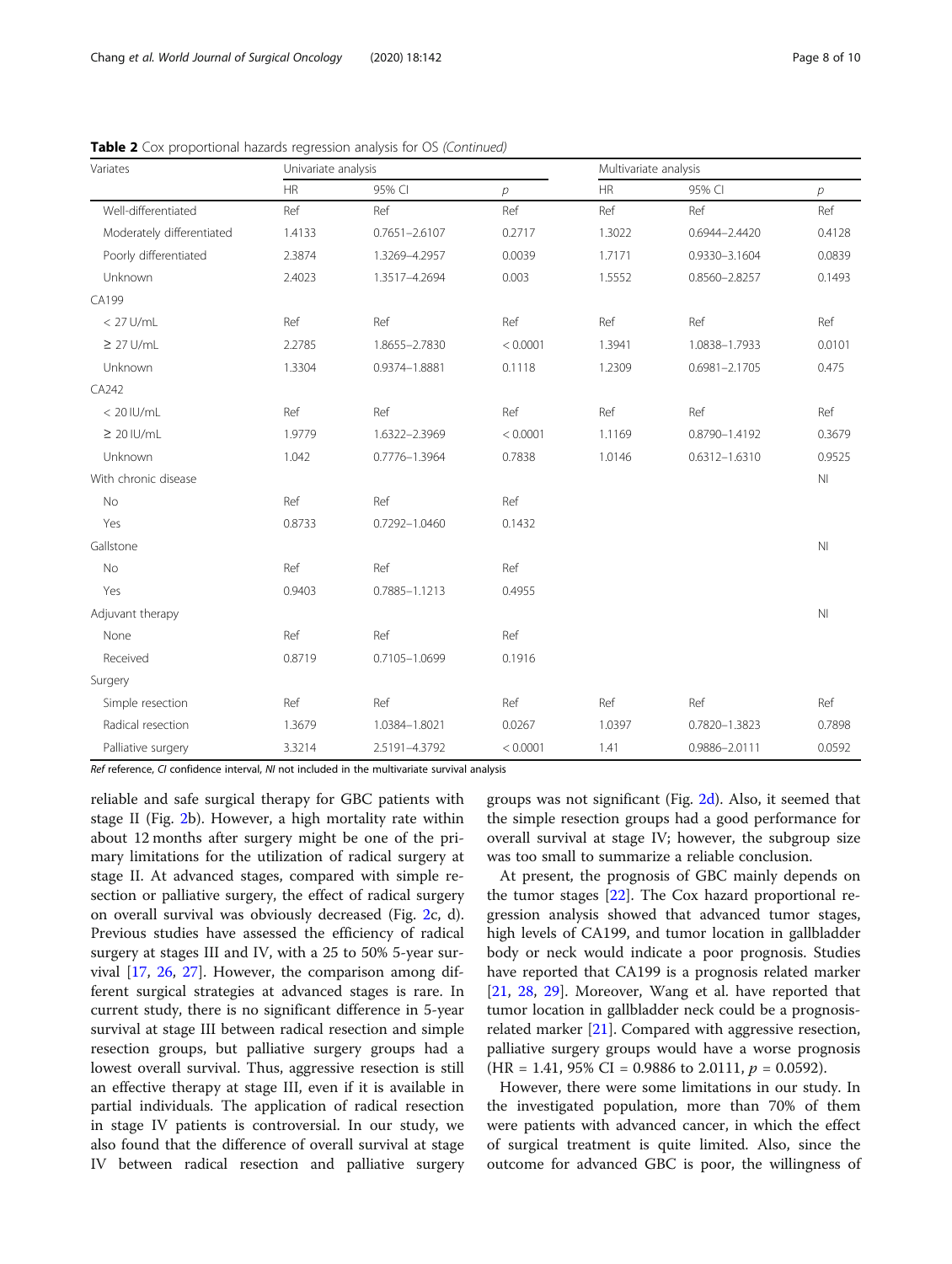| Variates                  | Univariate analysis |                   |          |           | Multivariate analysis |                |  |  |
|---------------------------|---------------------|-------------------|----------|-----------|-----------------------|----------------|--|--|
|                           | HR                  | 95% CI            | р        | <b>HR</b> | 95% CI                | р              |  |  |
| Well-differentiated       | Ref                 | Ref               | Ref      | Ref       | Ref                   | Ref            |  |  |
| Moderately differentiated | 1.4133              | $0.7651 - 2.6107$ | 0.2717   | 1.3022    | 0.6944-2.4420         | 0.4128         |  |  |
| Poorly differentiated     | 2.3874              | 1.3269-4.2957     | 0.0039   | 1.7171    | 0.9330-3.1604         | 0.0839         |  |  |
| Unknown                   | 2.4023              | 1.3517-4.2694     | 0.003    | 1.5552    | 0.8560-2.8257         | 0.1493         |  |  |
| CA199                     |                     |                   |          |           |                       |                |  |  |
| $< 27$ U/mL               | Ref                 | Ref               | Ref      | Ref       | Ref                   | Ref            |  |  |
| $\geq$ 27 U/mL            | 2.2785              | 1.8655-2.7830     | < 0.0001 | 1.3941    | 1.0838-1.7933         | 0.0101         |  |  |
| Unknown                   | 1.3304              | 0.9374-1.8881     | 0.1118   | 1.2309    | $0.6981 - 2.1705$     | 0.475          |  |  |
| CA242                     |                     |                   |          |           |                       |                |  |  |
| $< 20$ IU/mL              | Ref                 | Ref               | Ref      | Ref       | Ref                   | Ref            |  |  |
| $\geq 20$ IU/mL           | 1.9779              | 1.6322-2.3969     | < 0.0001 | 1.1169    | 0.8790-1.4192         | 0.3679         |  |  |
| Unknown                   | 1.042               | 0.7776-1.3964     | 0.7838   | 1.0146    | 0.6312-1.6310         | 0.9525         |  |  |
| With chronic disease      |                     |                   |          |           |                       | N <sub>l</sub> |  |  |
| <b>No</b>                 | Ref                 | Ref               | Ref      |           |                       |                |  |  |
| Yes                       | 0.8733              | 0.7292-1.0460     | 0.1432   |           |                       |                |  |  |
| Gallstone                 |                     |                   |          |           |                       | N <sub>l</sub> |  |  |
| <b>No</b>                 | Ref                 | Ref               | Ref      |           |                       |                |  |  |
| Yes                       | 0.9403              | 0.7885-1.1213     | 0.4955   |           |                       |                |  |  |
| Adjuvant therapy          |                     |                   |          |           |                       | N <sub>l</sub> |  |  |
| None                      | Ref                 | Ref               | Ref      |           |                       |                |  |  |
| Received                  | 0.8719              | 0.7105-1.0699     | 0.1916   |           |                       |                |  |  |
| Surgery                   |                     |                   |          |           |                       |                |  |  |
| Simple resection          | Ref                 | Ref               | Ref      | Ref       | Ref                   | Ref            |  |  |
| Radical resection         | 1.3679              | 1.0384-1.8021     | 0.0267   | 1.0397    | 0.7820-1.3823         | 0.7898         |  |  |
| Palliative surgery        | 3.3214              | 2.5191-4.3792     | < 0.0001 | 1.41      | 0.9886-2.0111         | 0.0592         |  |  |

**Table 2** Cox proportional hazards regression analysis for OS (Continued)

Ref reference, CI confidence interval, NI not included in the multivariate survival analysis

reliable and safe surgical therapy for GBC patients with stage II (Fig. [2b](#page-5-0)). However, a high mortality rate within about 12 months after surgery might be one of the primary limitations for the utilization of radical surgery at stage II. At advanced stages, compared with simple resection or palliative surgery, the effect of radical surgery on overall survival was obviously decreased (Fig. [2c](#page-5-0), d). Previous studies have assessed the efficiency of radical surgery at stages III and IV, with a 25 to 50% 5-year survival [\[17](#page-8-0), [26](#page-9-0), [27\]](#page-9-0). However, the comparison among different surgical strategies at advanced stages is rare. In current study, there is no significant difference in 5-year survival at stage III between radical resection and simple resection groups, but palliative surgery groups had a lowest overall survival. Thus, aggressive resection is still an effective therapy at stage III, even if it is available in partial individuals. The application of radical resection in stage IV patients is controversial. In our study, we also found that the difference of overall survival at stage IV between radical resection and palliative surgery

groups was not significant (Fig. [2d](#page-5-0)). Also, it seemed that the simple resection groups had a good performance for overall survival at stage IV; however, the subgroup size was too small to summarize a reliable conclusion.

At present, the prognosis of GBC mainly depends on the tumor stages [[22\]](#page-8-0). The Cox hazard proportional regression analysis showed that advanced tumor stages, high levels of CA199, and tumor location in gallbladder body or neck would indicate a poor prognosis. Studies have reported that CA199 is a prognosis related marker [[21,](#page-8-0) [28,](#page-9-0) [29](#page-9-0)]. Moreover, Wang et al. have reported that tumor location in gallbladder neck could be a prognosisrelated marker [[21\]](#page-8-0). Compared with aggressive resection, palliative surgery groups would have a worse prognosis  $(HR = 1.41, 95\% \text{ CI} = 0.9886 \text{ to } 2.0111, p = 0.0592).$ 

However, there were some limitations in our study. In the investigated population, more than 70% of them were patients with advanced cancer, in which the effect of surgical treatment is quite limited. Also, since the outcome for advanced GBC is poor, the willingness of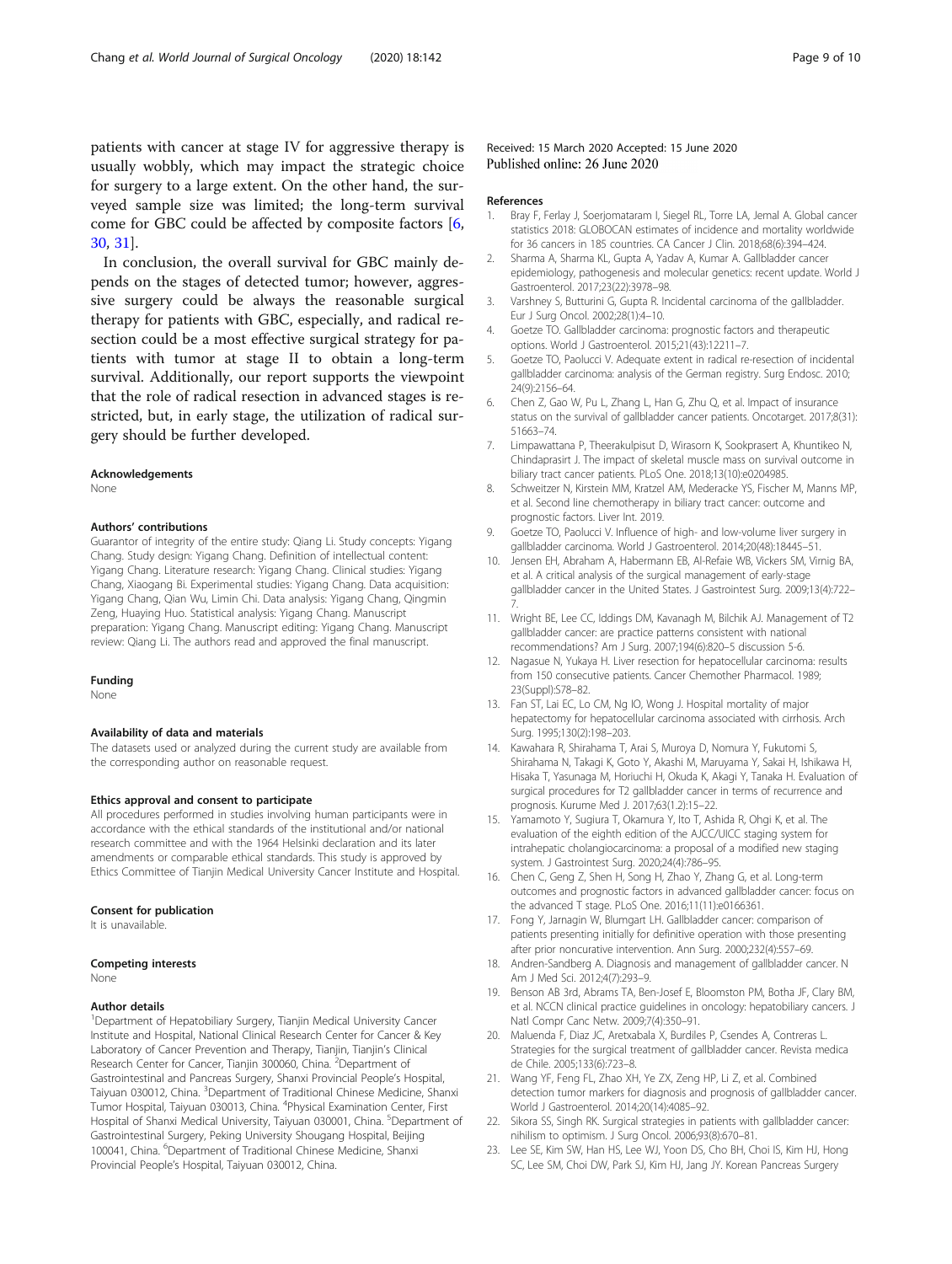<span id="page-8-0"></span>patients with cancer at stage IV for aggressive therapy is usually wobbly, which may impact the strategic choice for surgery to a large extent. On the other hand, the surveyed sample size was limited; the long-term survival come for GBC could be affected by composite factors [6, [30,](#page-9-0) [31](#page-9-0)].

In conclusion, the overall survival for GBC mainly depends on the stages of detected tumor; however, aggressive surgery could be always the reasonable surgical therapy for patients with GBC, especially, and radical resection could be a most effective surgical strategy for patients with tumor at stage II to obtain a long-term survival. Additionally, our report supports the viewpoint that the role of radical resection in advanced stages is restricted, but, in early stage, the utilization of radical surgery should be further developed.

#### Acknowledgements

None

#### Authors' contributions

Guarantor of integrity of the entire study: Qiang Li. Study concepts: Yigang Chang. Study design: Yigang Chang. Definition of intellectual content: Yigang Chang. Literature research: Yigang Chang. Clinical studies: Yigang Chang, Xiaogang Bi. Experimental studies: Yigang Chang. Data acquisition: Yigang Chang, Qian Wu, Limin Chi. Data analysis: Yigang Chang, Qingmin Zeng, Huaying Huo. Statistical analysis: Yigang Chang. Manuscript preparation: Yigang Chang. Manuscript editing: Yigang Chang. Manuscript review: Qiang Li. The authors read and approved the final manuscript.

#### Funding

None

#### Availability of data and materials

The datasets used or analyzed during the current study are available from the corresponding author on reasonable request.

#### Ethics approval and consent to participate

All procedures performed in studies involving human participants were in accordance with the ethical standards of the institutional and/or national research committee and with the 1964 Helsinki declaration and its later amendments or comparable ethical standards. This study is approved by Ethics Committee of Tianjin Medical University Cancer Institute and Hospital.

#### Consent for publication

It is unavailable.

#### Competing interests

None

#### Author details

<sup>1</sup>Department of Hepatobiliary Surgery, Tianjin Medical University Cancer Institute and Hospital, National Clinical Research Center for Cancer & Key Laboratory of Cancer Prevention and Therapy, Tianjin, Tianjin's Clinical Research Center for Cancer, Tianjin 300060, China. <sup>2</sup>Department of Gastrointestinal and Pancreas Surgery, Shanxi Provincial People's Hospital, Taiyuan 030012, China. <sup>3</sup>Department of Traditional Chinese Medicine, Shanxi Tumor Hospital, Taiyuan 030013, China. <sup>4</sup>Physical Examination Center, First Hospital of Shanxi Medical University, Taiyuan 030001, China. <sup>5</sup>Department of Gastrointestinal Surgery, Peking University Shougang Hospital, Beijing 100041, China. <sup>6</sup>Department of Traditional Chinese Medicine, Shanxi Provincial People's Hospital, Taiyuan 030012, China.

#### Received: 15 March 2020 Accepted: 15 June 2020 Published online: 26 June 2020

#### References

- 1. Bray F, Ferlay J, Soerjomataram I, Siegel RL, Torre LA, Jemal A. Global cancer statistics 2018: GLOBOCAN estimates of incidence and mortality worldwide for 36 cancers in 185 countries. CA Cancer J Clin. 2018;68(6):394–424.
- 2. Sharma A, Sharma KL, Gupta A, Yadav A, Kumar A. Gallbladder cancer epidemiology, pathogenesis and molecular genetics: recent update. World J Gastroenterol. 2017;23(22):3978–98.
- 3. Varshney S, Butturini G, Gupta R. Incidental carcinoma of the gallbladder. Eur J Surg Oncol. 2002;28(1):4–10.
- 4. Goetze TO. Gallbladder carcinoma: prognostic factors and therapeutic options. World J Gastroenterol. 2015;21(43):12211–7.
- 5. Goetze TO, Paolucci V. Adequate extent in radical re-resection of incidental gallbladder carcinoma: analysis of the German registry. Surg Endosc. 2010; 24(9):2156–64.
- 6. Chen Z, Gao W, Pu L, Zhang L, Han G, Zhu Q, et al. Impact of insurance status on the survival of gallbladder cancer patients. Oncotarget. 2017;8(31): 51663–74.
- 7. Limpawattana P, Theerakulpisut D, Wirasorn K, Sookprasert A, Khuntikeo N, Chindaprasirt J. The impact of skeletal muscle mass on survival outcome in biliary tract cancer patients. PLoS One. 2018;13(10):e0204985.
- 8. Schweitzer N, Kirstein MM, Kratzel AM, Mederacke YS, Fischer M, Manns MP, et al. Second line chemotherapy in biliary tract cancer: outcome and prognostic factors. Liver Int. 2019.
- 9. Goetze TO, Paolucci V. Influence of high- and low-volume liver surgery in gallbladder carcinoma. World J Gastroenterol. 2014;20(48):18445–51.
- 10. Jensen EH, Abraham A, Habermann EB, Al-Refaie WB, Vickers SM, Virnig BA, et al. A critical analysis of the surgical management of early-stage gallbladder cancer in the United States. J Gastrointest Surg. 2009;13(4):722– 7.
- 11. Wright BE, Lee CC, Iddings DM, Kavanagh M, Bilchik AJ. Management of T2 gallbladder cancer: are practice patterns consistent with national recommendations? Am J Surg. 2007;194(6):820–5 discussion 5-6.
- 12. Nagasue N, Yukaya H. Liver resection for hepatocellular carcinoma: results from 150 consecutive patients. Cancer Chemother Pharmacol. 1989; 23(Suppl):S78–82.
- 13. Fan ST, Lai EC, Lo CM, Ng IO, Wong J. Hospital mortality of major hepatectomy for hepatocellular carcinoma associated with cirrhosis. Arch Surg. 1995;130(2):198–203.
- 14. Kawahara R, Shirahama T, Arai S, Muroya D, Nomura Y, Fukutomi S, Shirahama N, Takagi K, Goto Y, Akashi M, Maruyama Y, Sakai H, Ishikawa H, Hisaka T, Yasunaga M, Horiuchi H, Okuda K, Akagi Y, Tanaka H. Evaluation of surgical procedures for T2 gallbladder cancer in terms of recurrence and prognosis. Kurume Med J. 2017;63(1.2):15–22.
- 15. Yamamoto Y, Sugiura T, Okamura Y, Ito T, Ashida R, Ohgi K, et al. The evaluation of the eighth edition of the AJCC/UICC staging system for intrahepatic cholangiocarcinoma: a proposal of a modified new staging system. J Gastrointest Surg. 2020;24(4):786–95.
- 16. Chen C, Geng Z, Shen H, Song H, Zhao Y, Zhang G, et al. Long-term outcomes and prognostic factors in advanced gallbladder cancer: focus on the advanced T stage. PLoS One. 2016;11(11):e0166361.
- 17. Fong Y, Jarnagin W, Blumgart LH. Gallbladder cancer: comparison of patients presenting initially for definitive operation with those presenting after prior noncurative intervention. Ann Surg. 2000;232(4):557–69.
- 18. Andren-Sandberg A. Diagnosis and management of gallbladder cancer. N Am J Med Sci. 2012;4(7):293–9.
- 19. Benson AB 3rd, Abrams TA, Ben-Josef E, Bloomston PM, Botha JF, Clary BM, et al. NCCN clinical practice guidelines in oncology: hepatobiliary cancers. J Natl Compr Canc Netw. 2009;7(4):350–91.
- 20. Maluenda F, Diaz JC, Aretxabala X, Burdiles P, Csendes A, Contreras L. Strategies for the surgical treatment of gallbladder cancer. Revista medica de Chile. 2005;133(6):723–8.
- 21. Wang YF, Feng FL, Zhao XH, Ye ZX, Zeng HP, Li Z, et al. Combined detection tumor markers for diagnosis and prognosis of gallbladder cancer. World J Gastroenterol. 2014;20(14):4085–92.
- 22. Sikora SS, Singh RK. Surgical strategies in patients with gallbladder cancer: nihilism to optimism. J Surg Oncol. 2006;93(8):670–81.
- 23. Lee SE, Kim SW, Han HS, Lee WJ, Yoon DS, Cho BH, Choi IS, Kim HJ, Hong SC, Lee SM, Choi DW, Park SJ, Kim HJ, Jang JY. Korean Pancreas Surgery